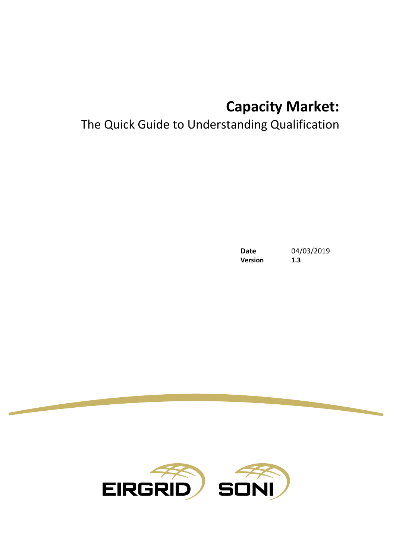# **Capacity Market:**

# The Quick Guide to Understanding Qualification

**Date** 04/03/2019 **Version 1.3**

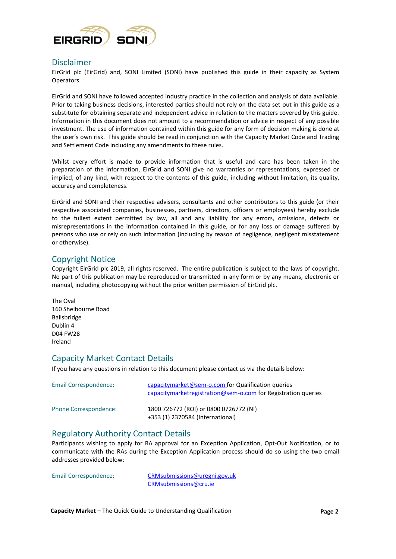

## Disclaimer

EirGrid plc (EirGrid) and, SONI Limited (SONI) have published this guide in their capacity as System Operators.

EirGrid and SONI have followed accepted industry practice in the collection and analysis of data available. Prior to taking business decisions, interested parties should not rely on the data set out in this guide as a substitute for obtaining separate and independent advice in relation to the matters covered by this guide. Information in this document does not amount to a recommendation or advice in respect of any possible investment. The use of information contained within this guide for any form of decision making is done at the user's own risk. This guide should be read in conjunction with the Capacity Market Code and Trading and Settlement Code including any amendments to these rules.

Whilst every effort is made to provide information that is useful and care has been taken in the preparation of the information, EirGrid and SONI give no warranties or representations, expressed or implied, of any kind, with respect to the contents of this guide, including without limitation, its quality, accuracy and completeness.

EirGrid and SONI and their respective advisers, consultants and other contributors to this guide (or their respective associated companies, businesses, partners, directors, officers or employees) hereby exclude to the fullest extent permitted by law, all and any liability for any errors, omissions, defects or misrepresentations in the information contained in this guide, or for any loss or damage suffered by persons who use or rely on such information (including by reason of negligence, negligent misstatement or otherwise).

## Copyright Notice

Copyright EirGrid plc 2019, all rights reserved. The entire publication is subject to the laws of copyright. No part of this publication may be reproduced or transmitted in any form or by any means, electronic or manual, including photocopying without the prior written permission of EirGrid plc.

## Capacity Market Contact Details

If you have any questions in relation to this document please contact us via the details below:

| Email Correspondence: | capacitymarket@sem-o.com for Qualification queries<br>capacitymarketregistration@sem-o.com for Registration queries |
|-----------------------|---------------------------------------------------------------------------------------------------------------------|
| Phone Correspondence: | 1800 726772 (ROI) or 0800 0726772 (NI)<br>+353 (1) 2370584 (International)                                          |

## Regulatory Authority Contact Details

Participants wishing to apply for RA approval for an Exception Application, Opt-Out Notification, or to communicate with the RAs during the Exception Application process should do so using the two email addresses provided below:

Email Correspondence: CRMsubmissions@uregni.gov.uk CRMsubmissions@cru.ie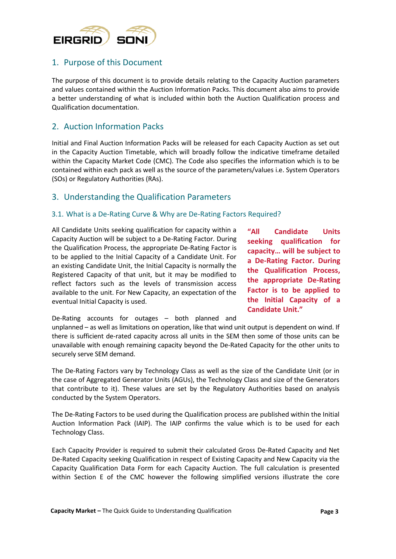

# 1. Purpose of this Document

The purpose of this document is to provide details relating to the Capacity Auction parameters and values contained within the Auction Information Packs. This document also aims to provide a better understanding of what is included within both the Auction Qualification process and Qualification documentation.

# 2. Auction Information Packs

Initial and Final Auction Information Packs will be released for each Capacity Auction as set out in the Capacity Auction Timetable, which will broadly follow the indicative timeframe detailed within the Capacity Market Code (CMC). The Code also specifies the information which is to be contained within each pack as well as the source of the parameters/values i.e. System Operators (SOs) or Regulatory Authorities (RAs).

## 3. Understanding the Qualification Parameters

#### 3.1. What is a De-Rating Curve & Why are De-Rating Factors Required?

All Candidate Units seeking qualification for capacity within a Capacity Auction will be subject to a De-Rating Factor. During the Qualification Process, the appropriate De-Rating Factor is to be applied to the Initial Capacity of a Candidate Unit. For an existing Candidate Unit, the Initial Capacity is normally the Registered Capacity of that unit, but it may be modified to reflect factors such as the levels of transmission access available to the unit. For New Capacity, an expectation of the eventual Initial Capacity is used.

**"All Candidate Units seeking qualification for capacity… will be subject to a De-Rating Factor. During the Qualification Process, the appropriate De-Rating Factor is to be applied to the Initial Capacity of a Candidate Unit."**

De-Rating accounts for outages – both planned and

unplanned – as well as limitations on operation, like that wind unit output is dependent on wind. If there is sufficient de-rated capacity across all units in the SEM then some of those units can be unavailable with enough remaining capacity beyond the De-Rated Capacity for the other units to securely serve SEM demand.

The De-Rating Factors vary by Technology Class as well as the size of the Candidate Unit (or in the case of Aggregated Generator Units (AGUs), the Technology Class and size of the Generators that contribute to it). These values are set by the Regulatory Authorities based on analysis conducted by the System Operators.

The De-Rating Factors to be used during the Qualification process are published within the Initial Auction Information Pack (IAIP). The IAIP confirms the value which is to be used for each Technology Class.

Each Capacity Provider is required to submit their calculated Gross De-Rated Capacity and Net De-Rated Capacity seeking Qualification in respect of Existing Capacity and New Capacity via the Capacity Qualification Data Form for each Capacity Auction. The full calculation is presented within Section E of the CMC however the following simplified versions illustrate the core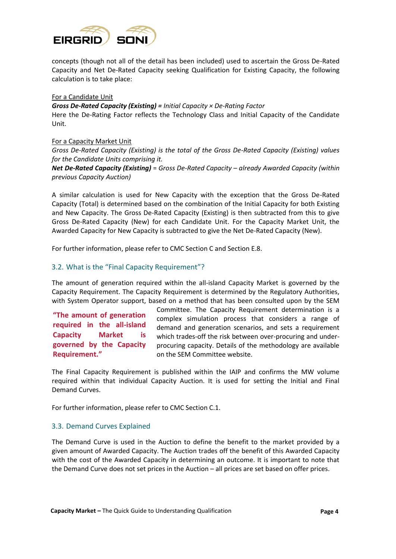

concepts (though not all of the detail has been included) used to ascertain the Gross De-Rated Capacity and Net De-Rated Capacity seeking Qualification for Existing Capacity, the following calculation is to take place:

#### For a Candidate Unit

*Gross De-Rated Capacity (Existing) = Initial Capacity × De-Rating Factor* Here the De-Rating Factor reflects the Technology Class and Initial Capacity of the Candidate Unit.

#### For a Capacity Market Unit

*Gross De-Rated Capacity (Existing) is the total of the Gross De-Rated Capacity (Existing) values for the Candidate Units comprising it.*

*Net De-Rated Capacity (Existing)* = *Gross De-Rated Capacity – already Awarded Capacity (within previous Capacity Auction)* 

A similar calculation is used for New Capacity with the exception that the Gross De-Rated Capacity (Total) is determined based on the combination of the Initial Capacity for both Existing and New Capacity. The Gross De-Rated Capacity (Existing) is then subtracted from this to give Gross De-Rated Capacity (New) for each Candidate Unit. For the Capacity Market Unit, the Awarded Capacity for New Capacity is subtracted to give the Net De-Rated Capacity (New).

For further information, please refer to CMC Section C and Section E.8.

#### 3.2. What is the "Final Capacity Requirement"?

The amount of generation required within the all-island Capacity Market is governed by the Capacity Requirement. The Capacity Requirement is determined by the Regulatory Authorities, with System Operator support, based on a method that has been consulted upon by the SEM

**"The amount of generation required in the all-island Capacity Market is governed by the Capacity Requirement."**

Committee. The Capacity Requirement determination is a complex simulation process that considers a range of demand and generation scenarios, and sets a requirement which trades-off the risk between over-procuring and underprocuring capacity. Details of the methodology are available on the SEM Committee website.

The Final Capacity Requirement is published within the IAIP and confirms the MW volume required within that individual Capacity Auction. It is used for setting the Initial and Final Demand Curves.

For further information, please refer to CMC Section C.1.

#### 3.3. Demand Curves Explained

The Demand Curve is used in the Auction to define the benefit to the market provided by a given amount of Awarded Capacity. The Auction trades off the benefit of this Awarded Capacity with the cost of the Awarded Capacity in determining an outcome. It is important to note that the Demand Curve does not set prices in the Auction – all prices are set based on offer prices.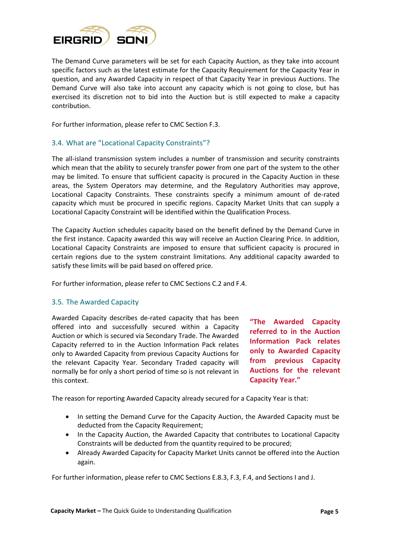

The Demand Curve parameters will be set for each Capacity Auction, as they take into account specific factors such as the latest estimate for the Capacity Requirement for the Capacity Year in question, and any Awarded Capacity in respect of that Capacity Year in previous Auctions. The Demand Curve will also take into account any capacity which is not going to close, but has exercised its discretion not to bid into the Auction but is still expected to make a capacity contribution.

For further information, please refer to CMC Section F.3.

#### 3.4. What are "Locational Capacity Constraints"?

The all-island transmission system includes a number of transmission and security constraints which mean that the ability to securely transfer power from one part of the system to the other may be limited. To ensure that sufficient capacity is procured in the Capacity Auction in these areas, the System Operators may determine, and the Regulatory Authorities may approve, Locational Capacity Constraints. These constraints specify a minimum amount of de-rated capacity which must be procured in specific regions. Capacity Market Units that can supply a Locational Capacity Constraint will be identified within the Qualification Process.

The Capacity Auction schedules capacity based on the benefit defined by the Demand Curve in the first instance. Capacity awarded this way will receive an Auction Clearing Price. In addition, Locational Capacity Constraints are imposed to ensure that sufficient capacity is procured in certain regions due to the system constraint limitations. Any additional capacity awarded to satisfy these limits will be paid based on offered price.

For further information, please refer to CMC Sections C.2 and F.4.

#### 3.5. The Awarded Capacity

Awarded Capacity describes de-rated capacity that has been offered into and successfully secured within a Capacity Auction or which is secured via Secondary Trade. The Awarded Capacity referred to in the Auction Information Pack relates only to Awarded Capacity from previous Capacity Auctions for the relevant Capacity Year. Secondary Traded capacity will normally be for only a short period of time so is not relevant in this context.

**"The Awarded Capacity referred to in the Auction Information Pack relates only to Awarded Capacity from previous Capacity Auctions for the relevant Capacity Year."**

The reason for reporting Awarded Capacity already secured for a Capacity Year is that:

- In setting the Demand Curve for the Capacity Auction, the Awarded Capacity must be deducted from the Capacity Requirement;
- In the Capacity Auction, the Awarded Capacity that contributes to Locational Capacity Constraints will be deducted from the quantity required to be procured;
- Already Awarded Capacity for Capacity Market Units cannot be offered into the Auction again.

For further information, please refer to CMC Sections E.8.3, F.3, F.4, and Sections I and J.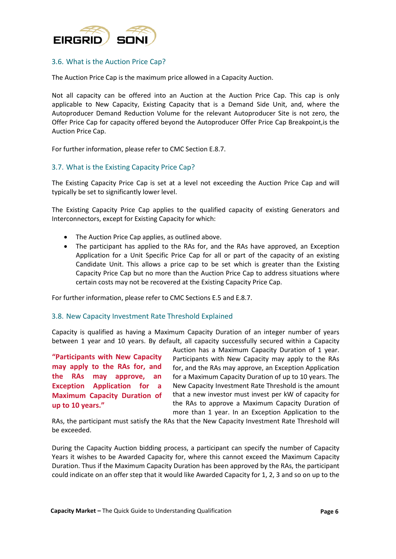

#### 3.6. What is the Auction Price Cap?

The Auction Price Cap is the maximum price allowed in a Capacity Auction.

Not all capacity can be offered into an Auction at the Auction Price Cap. This cap is only applicable to New Capacity, Existing Capacity that is a Demand Side Unit, and, where the Autoproducer Demand Reduction Volume for the relevant Autoproducer Site is not zero, the Offer Price Cap for capacity offered beyond the Autoproducer Offer Price Cap Breakpoint,is the Auction Price Cap.

For further information, please refer to CMC Section E.8.7.

#### 3.7. What is the Existing Capacity Price Cap?

The Existing Capacity Price Cap is set at a level not exceeding the Auction Price Cap and will typically be set to significantly lower level.

The Existing Capacity Price Cap applies to the qualified capacity of existing Generators and Interconnectors, except for Existing Capacity for which:

- The Auction Price Cap applies, as outlined above.
- The participant has applied to the RAs for, and the RAs have approved, an Exception Application for a Unit Specific Price Cap for all or part of the capacity of an existing Candidate Unit. This allows a price cap to be set which is greater than the Existing Capacity Price Cap but no more than the Auction Price Cap to address situations where certain costs may not be recovered at the Existing Capacity Price Cap.

For further information, please refer to CMC Sections E.5 and E.8.7.

#### 3.8. New Capacity Investment Rate Threshold Explained

Capacity is qualified as having a Maximum Capacity Duration of an integer number of years between 1 year and 10 years. By default, all capacity successfully secured within a Capacity

**"Participants with New Capacity may apply to the RAs for, and the RAs may approve, an Exception Application for a Maximum Capacity Duration of up to 10 years."**

Auction has a Maximum Capacity Duration of 1 year. Participants with New Capacity may apply to the RAs for, and the RAs may approve, an Exception Application for a Maximum Capacity Duration of up to 10 years. The New Capacity Investment Rate Threshold is the amount that a new investor must invest per kW of capacity for the RAs to approve a Maximum Capacity Duration of more than 1 year. In an Exception Application to the

RAs, the participant must satisfy the RAs that the New Capacity Investment Rate Threshold will be exceeded.

During the Capacity Auction bidding process, a participant can specify the number of Capacity Years it wishes to be Awarded Capacity for, where this cannot exceed the Maximum Capacity Duration. Thus if the Maximum Capacity Duration has been approved by the RAs, the participant could indicate on an offer step that it would like Awarded Capacity for 1, 2, 3 and so on up to the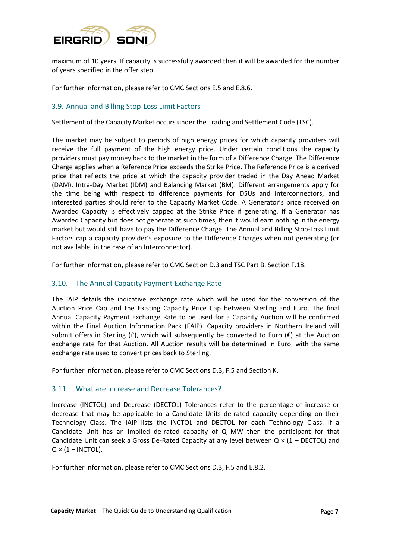

maximum of 10 years. If capacity is successfully awarded then it will be awarded for the number of years specified in the offer step.

For further information, please refer to CMC Sections E.5 and E.8.6.

#### 3.9. Annual and Billing Stop-Loss Limit Factors

Settlement of the Capacity Market occurs under the Trading and Settlement Code (TSC).

The market may be subject to periods of high energy prices for which capacity providers will receive the full payment of the high energy price. Under certain conditions the capacity providers must pay money back to the market in the form of a Difference Charge. The Difference Charge applies when a Reference Price exceeds the Strike Price. The Reference Price is a derived price that reflects the price at which the capacity provider traded in the Day Ahead Market (DAM), Intra-Day Market (IDM) and Balancing Market (BM). Different arrangements apply for the time being with respect to difference payments for DSUs and Interconnectors, and interested parties should refer to the Capacity Market Code. A Generator's price received on Awarded Capacity is effectively capped at the Strike Price if generating. If a Generator has Awarded Capacity but does not generate at such times, then it would earn nothing in the energy market but would still have to pay the Difference Charge. The Annual and Billing Stop-Loss Limit Factors cap a capacity provider's exposure to the Difference Charges when not generating (or not available, in the case of an Interconnector).

For further information, please refer to CMC Section D.3 and TSC Part B, Section F.18.

#### 3.10. The Annual Capacity Payment Exchange Rate

The IAIP details the indicative exchange rate which will be used for the conversion of the Auction Price Cap and the Existing Capacity Price Cap between Sterling and Euro. The final Annual Capacity Payment Exchange Rate to be used for a Capacity Auction will be confirmed within the Final Auction Information Pack (FAIP). Capacity providers in Northern Ireland will submit offers in Sterling (£), which will subsequently be converted to Euro ( $\epsilon$ ) at the Auction exchange rate for that Auction. All Auction results will be determined in Euro, with the same exchange rate used to convert prices back to Sterling.

For further information, please refer to CMC Sections D.3, F.5 and Section K.

#### 3.11. What are Increase and Decrease Tolerances?

Increase (INCTOL) and Decrease (DECTOL) Tolerances refer to the percentage of increase or decrease that may be applicable to a Candidate Units de-rated capacity depending on their Technology Class. The IAIP lists the INCTOL and DECTOL for each Technology Class. If a Candidate Unit has an implied de-rated capacity of Q MW then the participant for that Candidate Unit can seek a Gross De-Rated Capacity at any level between  $Q \times (1 - DECTOL)$  and  $Q \times (1 + INCTOL)$ .

For further information, please refer to CMC Sections D.3, F.5 and E.8.2.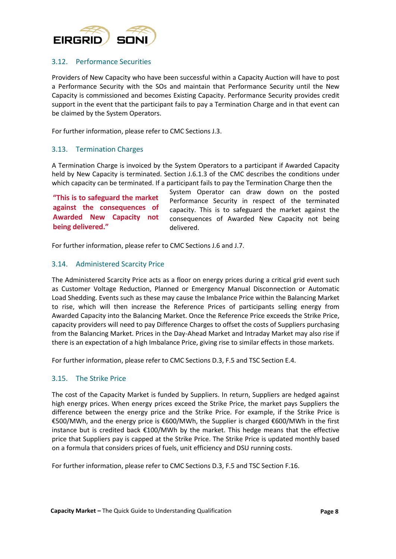

### 3.12. Performance Securities

Providers of New Capacity who have been successful within a Capacity Auction will have to post a Performance Security with the SOs and maintain that Performance Security until the New Capacity is commissioned and becomes Existing Capacity. Performance Security provides credit support in the event that the participant fails to pay a Termination Charge and in that event can be claimed by the System Operators.

For further information, please refer to CMC Sections J.3.

#### 3.13. Termination Charges

A Termination Charge is invoiced by the System Operators to a participant if Awarded Capacity held by New Capacity is terminated. Section J.6.1.3 of the CMC describes the conditions under which capacity can be terminated. If a participant fails to pay the Termination Charge then the

**"This is to safeguard the market against the consequences of Awarded New Capacity not being delivered."**

System Operator can draw down on the posted Performance Security in respect of the terminated capacity. This is to safeguard the market against the consequences of Awarded New Capacity not being delivered.

For further information, please refer to CMC Sections J.6 and J.7.

#### 3.14. Administered Scarcity Price

The Administered Scarcity Price acts as a floor on energy prices during a critical grid event such as Customer Voltage Reduction, Planned or Emergency Manual Disconnection or Automatic Load Shedding. Events such as these may cause the Imbalance Price within the Balancing Market to rise, which will then increase the Reference Prices of participants selling energy from Awarded Capacity into the Balancing Market. Once the Reference Price exceeds the Strike Price, capacity providers will need to pay Difference Charges to offset the costs of Suppliers purchasing from the Balancing Market. Prices in the Day-Ahead Market and Intraday Market may also rise if there is an expectation of a high Imbalance Price, giving rise to similar effects in those markets.

For further information, please refer to CMC Sections D.3, F.5 and TSC Section E.4.

#### 3.15. The Strike Price

The cost of the Capacity Market is funded by Suppliers. In return, Suppliers are hedged against high energy prices. When energy prices exceed the Strike Price, the market pays Suppliers the difference between the energy price and the Strike Price. For example, if the Strike Price is €500/MWh, and the energy price is €600/MWh, the Supplier is charged €600/MWh in the first instance but is credited back €100/MWh by the market. This hedge means that the effective price that Suppliers pay is capped at the Strike Price. The Strike Price is updated monthly based on a formula that considers prices of fuels, unit efficiency and DSU running costs.

For further information, please refer to CMC Sections D.3, F.5 and TSC Section F.16.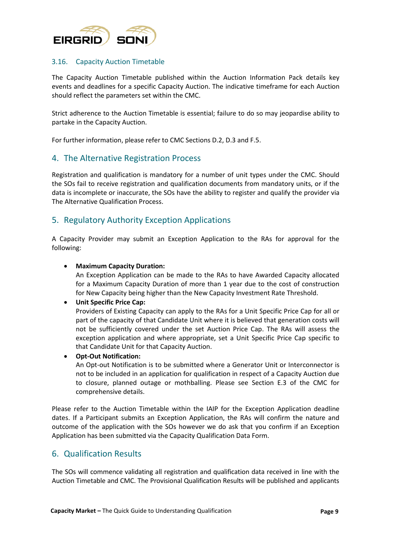

#### 3.16. Capacity Auction Timetable

The Capacity Auction Timetable published within the Auction Information Pack details key events and deadlines for a specific Capacity Auction. The indicative timeframe for each Auction should reflect the parameters set within the CMC.

Strict adherence to the Auction Timetable is essential; failure to do so may jeopardise ability to partake in the Capacity Auction.

For further information, please refer to CMC Sections D.2, D.3 and F.5.

## 4. The Alternative Registration Process

Registration and qualification is mandatory for a number of unit types under the CMC. Should the SOs fail to receive registration and qualification documents from mandatory units, or if the data is incomplete or inaccurate, the SOs have the ability to register and qualify the provider via The Alternative Qualification Process.

# 5. Regulatory Authority Exception Applications

A Capacity Provider may submit an Exception Application to the RAs for approval for the following:

#### **Maximum Capacity Duration:**

An Exception Application can be made to the RAs to have Awarded Capacity allocated for a Maximum Capacity Duration of more than 1 year due to the cost of construction for New Capacity being higher than the New Capacity Investment Rate Threshold.

#### **Unit Specific Price Cap:**

Providers of Existing Capacity can apply to the RAs for a Unit Specific Price Cap for all or part of the capacity of that Candidate Unit where it is believed that generation costs will not be sufficiently covered under the set Auction Price Cap. The RAs will assess the exception application and where appropriate, set a Unit Specific Price Cap specific to that Candidate Unit for that Capacity Auction.

#### **Opt-Out Notification:**

An Opt-out Notification is to be submitted where a Generator Unit or Interconnector is not to be included in an application for qualification in respect of a Capacity Auction due to closure, planned outage or mothballing. Please see Section E.3 of the CMC for comprehensive details.

Please refer to the Auction Timetable within the IAIP for the Exception Application deadline dates. If a Participant submits an Exception Application, the RAs will confirm the nature and outcome of the application with the SOs however we do ask that you confirm if an Exception Application has been submitted via the Capacity Qualification Data Form.

## 6. Qualification Results

The SOs will commence validating all registration and qualification data received in line with the Auction Timetable and CMC. The Provisional Qualification Results will be published and applicants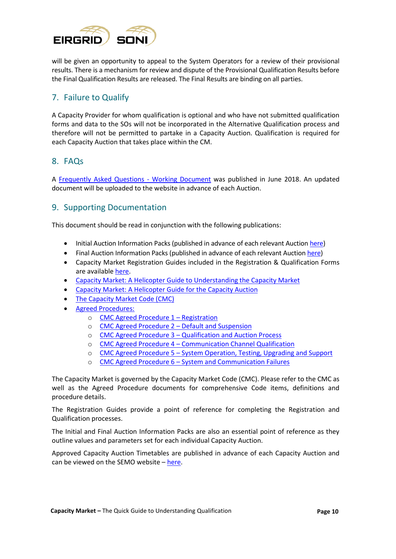

will be given an opportunity to appeal to the System Operators for a review of their provisional results. There is a mechanism for review and dispute of the Provisional Qualification Results before the Final Qualification Results are released. The Final Results are binding on all parties.

# 7. Failure to Qualify

A Capacity Provider for whom qualification is optional and who have not submitted qualification forms and data to the SOs will not be incorporated in the Alternative Qualification process and therefore will not be permitted to partake in a Capacity Auction. Qualification is required for each Capacity Auction that takes place within the CM.

# 8. FAQs

A [Frequently Asked Questions -](http://www.sem-o.com/documents/general-publications/Capacity-Auction-FAQ.pdf) Working Document was published in June 2018. An updated document will be uploaded to the website in advance of each Auction.

# 9. Supporting Documentation

This document should be read in conjunction with the following publications:

- Initial Auction Information Packs (published in advance of each relevant Auctio[n here\)](http://www.sem-o.com/publications/general-publications/index.xml?market=1511172710-0)
- [Final Auction Information Packs](http://www.sem-o.com/ISEM/General/Final%20Auction%20Information%20Pack%20v1.0.pdf) (published in advance of each relevant Auction [here\)](http://www.sem-o.com/publications/general-publications/index.xml?market=1511172710-0)
- Capacity Market Registration Guides included in the Registration & Qualification Forms are available [here.](http://lg.sem-o.com/ISEM/Pages/CapacityMarket.aspx)
- [Capacity Market: A Helicopter Guide to Understanding the Capacity Market](http://www.sem-o.com/documents/general-publications/Capacity-Market-A-Helicopter-Guide-to-Understanding-the-Capacity-Market.pdf)
- [Capacity Market: A Helicopter Guide for the Capacity Auction](http://www.sem-o.com/documents/general-publications/Capacity-Market-A-Helicopter-Guide-for-the-Capacity-Auction.pdf)
- [The Capacity Market Code \(CMC\)](https://www.semcommittee.com/sites/semcommittee.com/files/media-files/SEM-17-033a%20Capacity%20Market%20Code%20%28Final%20Publication%20Version%29.pdf)
- [Agreed Procedures:](https://www.semcommittee.com/publication/publication-i-sem-crm-capacity-market-code-decision)
	- o [CMC Agreed Procedure 1](https://www.semcommittee.com/sites/semcommittee.com/files/media-files/SEM-17-033c%20CMC%20Agreed%20Procedure%201-%20Registration_0.pdf)  Registration
	- o [CMC Agreed Procedure 2](https://www.semcommittee.com/sites/semcommittee.com/files/media-files/SEM-17-033d%20CMC%20Agreed%20Procedure%202%20-%20Default%20and%20Suspension.pdf)  Default and Suspension
	- o CMC Agreed Procedure 3 [Qualification and Auction Process](https://www.semcommittee.com/sites/semcommittee.com/files/media-files/SEM-17-033e%20CMC%20Agreed%20Procedure%203%20-%20Qualification%20and%20Auction%20Process.pdf)
	- o CMC Agreed Procedure 4 [Communication Channel Qualification](https://www.semcommittee.com/sites/semcommittee.com/files/media-files/SEM-17-033f%20CMC%20Agreed%20Procedure%204%20-%20Communication%20Channel%20Qualification.pdf)
	- o CMC Agreed Procedure 5 [System Operation, Testing, Upgrading and Support](https://www.semcommittee.com/sites/semcommittee.com/files/media-files/SEM-17-033g%20CMC%20Agreed%20Procedure%205%20-%20System%20Operation%2C%20Testing%2C%20Upgrading%20and%20Support.pdf)
	- o CMC Agreed Procedure 6 [System and Communication Failures](https://www.semcommittee.com/sites/semcommittee.com/files/media-files/SEM-17-033h%20CMC%20Agreed%20Procedure%206%20%20-%20System%20and%20Communication%20Failures.pdf)

The Capacity Market is governed by the Capacity Market Code (CMC). Please refer to the CMC as well as the Agreed Procedure documents for comprehensive Code items, definitions and procedure details.

The Registration Guides provide a point of reference for completing the Registration and Qualification processes.

The Initial and Final Auction Information Packs are also an essential point of reference as they outline values and parameters set for each individual Capacity Auction.

Approved Capacity Auction Timetables are published in advance of each Capacity Auction and can be viewed on the SEMO website  $-\frac{here}{.}$